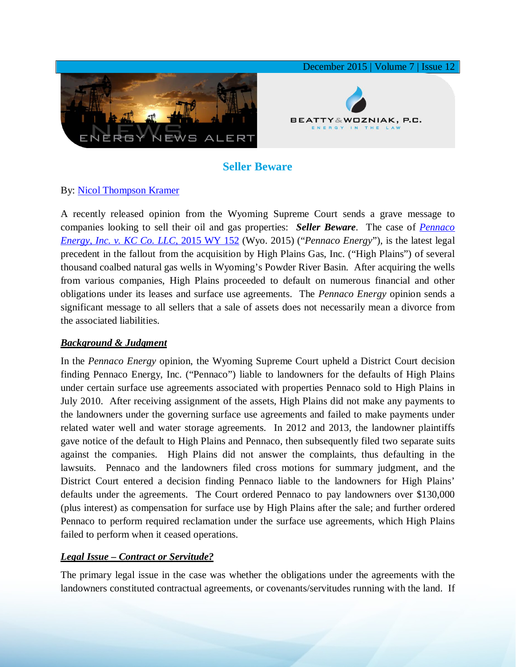

# **Seller Beware**

## By: [Nicol Thompson Kramer](http://www.bwenergylaw.com/#!nicol-kramer/c1z25)

A recently released opinion from the Wyoming Supreme Court sends a grave message to companies looking to sell their oil and gas properties: *Seller Beware*. The case of *[Pennaco](http://www.courts.state.wy.us/Documents/Opinions/2015WY152.pdf)  [Energy, Inc. v. KC Co. LLC,](http://www.courts.state.wy.us/Documents/Opinions/2015WY152.pdf)* 2015 WY 152 (Wyo. 2015) ("*Pennaco Energy*"), is the latest legal precedent in the fallout from the acquisition by High Plains Gas, Inc. ("High Plains") of several thousand coalbed natural gas wells in Wyoming's Powder River Basin. After acquiring the wells from various companies, High Plains proceeded to default on numerous financial and other obligations under its leases and surface use agreements. The *Pennaco Energy* opinion sends a significant message to all sellers that a sale of assets does not necessarily mean a divorce from the associated liabilities.

### *Background & Judgment*

In the *Pennaco Energy* opinion, the Wyoming Supreme Court upheld a District Court decision finding Pennaco Energy, Inc. ("Pennaco") liable to landowners for the defaults of High Plains under certain surface use agreements associated with properties Pennaco sold to High Plains in July 2010. After receiving assignment of the assets, High Plains did not make any payments to the landowners under the governing surface use agreements and failed to make payments under related water well and water storage agreements. In 2012 and 2013, the landowner plaintiffs gave notice of the default to High Plains and Pennaco, then subsequently filed two separate suits against the companies. High Plains did not answer the complaints, thus defaulting in the lawsuits. Pennaco and the landowners filed cross motions for summary judgment, and the District Court entered a decision finding Pennaco liable to the landowners for High Plains' defaults under the agreements. The Court ordered Pennaco to pay landowners over \$130,000 (plus interest) as compensation for surface use by High Plains after the sale; and further ordered Pennaco to perform required reclamation under the surface use agreements, which High Plains failed to perform when it ceased operations.

### *Legal Issue – Contract or Servitude?*

The primary legal issue in the case was whether the obligations under the agreements with the landowners constituted contractual agreements, or covenants/servitudes running with the land. If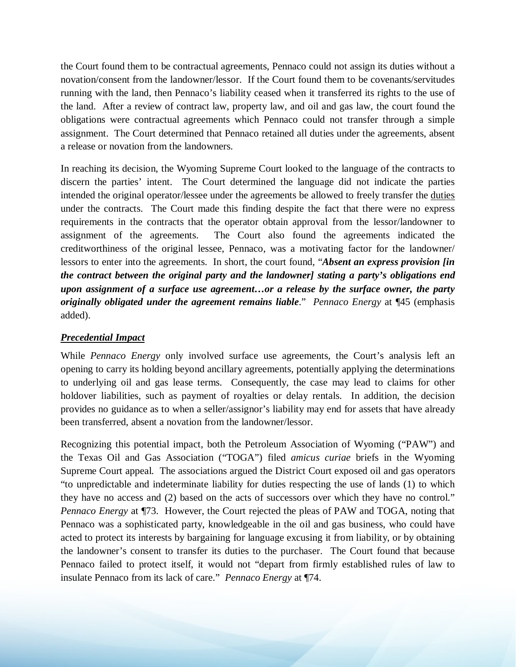the Court found them to be contractual agreements, Pennaco could not assign its duties without a novation/consent from the landowner/lessor. If the Court found them to be covenants/servitudes running with the land, then Pennaco's liability ceased when it transferred its rights to the use of the land. After a review of contract law, property law, and oil and gas law, the court found the obligations were contractual agreements which Pennaco could not transfer through a simple assignment. The Court determined that Pennaco retained all duties under the agreements, absent a release or novation from the landowners.

In reaching its decision, the Wyoming Supreme Court looked to the language of the contracts to discern the parties' intent. The Court determined the language did not indicate the parties intended the original operator/lessee under the agreements be allowed to freely transfer the duties under the contracts. The Court made this finding despite the fact that there were no express requirements in the contracts that the operator obtain approval from the lessor/landowner to assignment of the agreements. The Court also found the agreements indicated the creditworthiness of the original lessee, Pennaco, was a motivating factor for the landowner/ lessors to enter into the agreements. In short, the court found, "*Absent an express provision [in the contract between the original party and the landowner] stating a party's obligations end upon assignment of a surface use agreement…or a release by the surface owner, the party originally obligated under the agreement remains liable*." *Pennaco Energy* at ¶45 (emphasis added).

### *Precedential Impact*

While *Pennaco Energy* only involved surface use agreements, the Court's analysis left an opening to carry its holding beyond ancillary agreements, potentially applying the determinations to underlying oil and gas lease terms. Consequently, the case may lead to claims for other holdover liabilities, such as payment of royalties or delay rentals. In addition, the decision provides no guidance as to when a seller/assignor's liability may end for assets that have already been transferred, absent a novation from the landowner/lessor.

Recognizing this potential impact, both the Petroleum Association of Wyoming ("PAW") and the Texas Oil and Gas Association ("TOGA") filed *amicus curiae* briefs in the Wyoming Supreme Court appeal. The associations argued the District Court exposed oil and gas operators "to unpredictable and indeterminate liability for duties respecting the use of lands (1) to which they have no access and (2) based on the acts of successors over which they have no control." *Pennaco Energy* at ¶73. However, the Court rejected the pleas of PAW and TOGA, noting that Pennaco was a sophisticated party, knowledgeable in the oil and gas business, who could have acted to protect its interests by bargaining for language excusing it from liability, or by obtaining the landowner's consent to transfer its duties to the purchaser. The Court found that because Pennaco failed to protect itself, it would not "depart from firmly established rules of law to insulate Pennaco from its lack of care." *Pennaco Energy* at ¶74.